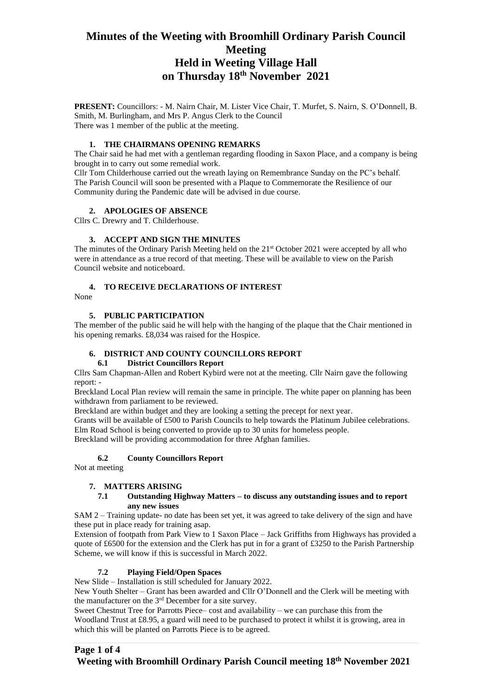## **Minutes of the Weeting with Broomhill Ordinary Parish Council Meeting Held in Weeting Village Hall on Thursday 18th November 2021**

**PRESENT:** Councillors: - M. Nairn Chair, M. Lister Vice Chair, T. Murfet, S. Nairn, S. O'Donnell, B. Smith, M. Burlingham, and Mrs P. Angus Clerk to the Council There was 1 member of the public at the meeting.

## **1. THE CHAIRMANS OPENING REMARKS**

The Chair said he had met with a gentleman regarding flooding in Saxon Place, and a company is being brought in to carry out some remedial work.

Cllr Tom Childerhouse carried out the wreath laying on Remembrance Sunday on the PC's behalf. The Parish Council will soon be presented with a Plaque to Commemorate the Resilience of our Community during the Pandemic date will be advised in due course.

## **2. APOLOGIES OF ABSENCE**

Cllrs C. Drewry and T. Childerhouse.

## **3. ACCEPT AND SIGN THE MINUTES**

The minutes of the Ordinary Parish Meeting held on the  $21<sup>st</sup>$  October 2021 were accepted by all who were in attendance as a true record of that meeting. These will be available to view on the Parish Council website and noticeboard.

## **4. TO RECEIVE DECLARATIONS OF INTEREST**

None

## **5. PUBLIC PARTICIPATION**

The member of the public said he will help with the hanging of the plaque that the Chair mentioned in his opening remarks. £8,034 was raised for the Hospice.

#### **6. DISTRICT AND COUNTY COUNCILLORS REPORT**

#### **6.1 District Councillors Report**

Cllrs Sam Chapman-Allen and Robert Kybird were not at the meeting. Cllr Nairn gave the following report: -

Breckland Local Plan review will remain the same in principle. The white paper on planning has been withdrawn from parliament to be reviewed.

Breckland are within budget and they are looking a setting the precept for next year.

Grants will be available of £500 to Parish Councils to help towards the Platinum Jubilee celebrations. Elm Road School is being converted to provide up to 30 units for homeless people.

Breckland will be providing accommodation for three Afghan families.

## **6.2 County Councillors Report**

Not at meeting

#### **7. MATTERS ARISING**

## **7.1 Outstanding Highway Matters – to discuss any outstanding issues and to report any new issues**

SAM 2 – Training update- no date has been set yet, it was agreed to take delivery of the sign and have these put in place ready for training asap.

Extension of footpath from Park View to 1 Saxon Place – Jack Griffiths from Highways has provided a quote of £6500 for the extension and the Clerk has put in for a grant of £3250 to the Parish Partnership Scheme, we will know if this is successful in March 2022.

## **7.2 Playing Field/Open Spaces**

New Slide – Installation is still scheduled for January 2022.

New Youth Shelter – Grant has been awarded and Cllr O'Donnell and the Clerk will be meeting with the manufacturer on the 3rd December for a site survey.

Sweet Chestnut Tree for Parrotts Piece– cost and availability – we can purchase this from the Woodland Trust at £8.95, a guard will need to be purchased to protect it whilst it is growing, area in which this will be planted on Parrotts Piece is to be agreed.

## **Page 1 of 4**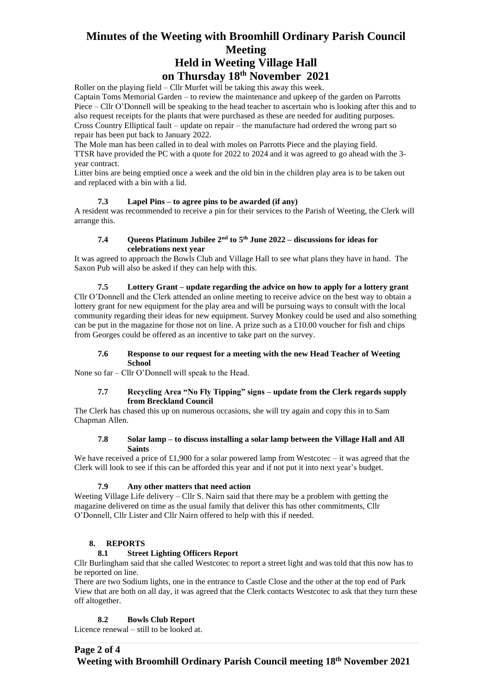## **Minutes of the Weeting with Broomhill Ordinary Parish Council Meeting Held in Weeting Village Hall**

## **on Thursday 18th November 2021**

Roller on the playing field – Cllr Murfet will be taking this away this week.

Captain Toms Memorial Garden – to review the maintenance and upkeep of the garden on Parrotts Piece – Cllr O'Donnell will be speaking to the head teacher to ascertain who is looking after this and to also request receipts for the plants that were purchased as these are needed for auditing purposes. Cross Country Elliptical fault – update on repair – the manufacture had ordered the wrong part so repair has been put back to January 2022.

The Mole man has been called in to deal with moles on Parrotts Piece and the playing field. TTSR have provided the PC with a quote for 2022 to 2024 and it was agreed to go ahead with the 3 year contract.

Litter bins are being emptied once a week and the old bin in the children play area is to be taken out and replaced with a bin with a lid.

## **7.3 Lapel Pins – to agree pins to be awarded (if any)**

A resident was recommended to receive a pin for their services to the Parish of Weeting, the Clerk will arrange this.

## **7.4 Queens Platinum Jubilee 2nd to 5th June 2022 – discussions for ideas for celebrations next year**

It was agreed to approach the Bowls Club and Village Hall to see what plans they have in hand. The Saxon Pub will also be asked if they can help with this.

#### **7.5 Lottery Grant – update regarding the advice on how to apply for a lottery grant**

Cllr O'Donnell and the Clerk attended an online meeting to receive advice on the best way to obtain a lottery grant for new equipment for the play area and will be pursuing ways to consult with the local community regarding their ideas for new equipment. Survey Monkey could be used and also something can be put in the magazine for those not on line. A prize such as a  $\text{\pounds}10.00$  voucher for fish and chips from Georges could be offered as an incentive to take part on the survey.

#### **7.6 Response to our request for a meeting with the new Head Teacher of Weeting School**

None so far – Cllr O'Donnell will speak to the Head.

#### **7.7 Recycling Area "No Fly Tipping" signs – update from the Clerk regards supply from Breckland Council**

The Clerk has chased this up on numerous occasions, she will try again and copy this in to Sam Chapman Allen.

### **7.8 Solar lamp – to discuss installing a solar lamp between the Village Hall and All Saints**

We have received a price of £1,900 for a solar powered lamp from Westcotec – it was agreed that the Clerk will look to see if this can be afforded this year and if not put it into next year's budget.

#### **7.9 Any other matters that need action**

Weeting Village Life delivery – Cllr S. Nairn said that there may be a problem with getting the magazine delivered on time as the usual family that deliver this has other commitments, Cllr O'Donnell, Cllr Lister and Cllr Nairn offered to help with this if needed.

## **8. REPORTS**

#### **8.1 Street Lighting Officers Report**

Cllr Burlingham said that she called Westcotec to report a street light and was told that this now has to be reported on line.

There are two Sodium lights, one in the entrance to Castle Close and the other at the top end of Park View that are both on all day, it was agreed that the Clerk contacts Westcotec to ask that they turn these off altogether.

#### **8.2 Bowls Club Report**

Licence renewal – still to be looked at.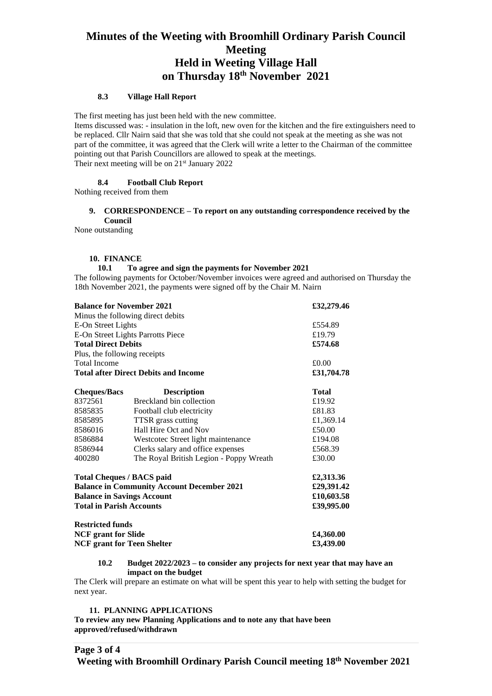# **Minutes of the Weeting with Broomhill Ordinary Parish Council Meeting Held in Weeting Village Hall on Thursday 18th November 2021**

#### **8.3 Village Hall Report**

The first meeting has just been held with the new committee.

Items discussed was: - insulation in the loft, new oven for the kitchen and the fire extinguishers need to be replaced. Cllr Nairn said that she was told that she could not speak at the meeting as she was not part of the committee, it was agreed that the Clerk will write a letter to the Chairman of the committee pointing out that Parish Councillors are allowed to speak at the meetings. Their next meeting will be on 21<sup>st</sup> January 2022

#### **8.4 Football Club Report**

Nothing received from them

#### **9. CORRESPONDENCE – To report on any outstanding correspondence received by the Council**

None outstanding

#### **10. FINANCE**

#### **10.1 To agree and sign the payments for November 2021**

The following payments for October/November invoices were agreed and authorised on Thursday the 18th November 2021, the payments were signed off by the Chair M. Nairn

| <b>Balance for November 2021</b>                  |                                         | £32,279.46   |
|---------------------------------------------------|-----------------------------------------|--------------|
|                                                   | Minus the following direct debits       |              |
| E-On Street Lights                                |                                         | £554.89      |
| E-On Street Lights Parrotts Piece                 |                                         | £19.79       |
| <b>Total Direct Debits</b>                        |                                         | £574.68      |
| Plus, the following receipts                      |                                         |              |
| <b>Total Income</b>                               |                                         | £0.00        |
| <b>Total after Direct Debits and Income</b>       |                                         | £31,704.78   |
| <b>Cheques/Bacs</b>                               | <b>Description</b>                      | <b>Total</b> |
| 8372561                                           | Breckland bin collection                | £19.92       |
| 8585835                                           | Football club electricity               | £81.83       |
| 8585895                                           | TTSR grass cutting                      | £1,369.14    |
| 8586016                                           | Hall Hire Oct and Nov                   | £50.00       |
| 8586884                                           | Westcotec Street light maintenance      | £194.08      |
| 8586944                                           | Clerks salary and office expenses       | £568.39      |
| 400280                                            | The Royal British Legion - Poppy Wreath | £30.00       |
| <b>Total Cheques / BACS paid</b>                  |                                         | £2,313.36    |
| <b>Balance in Community Account December 2021</b> |                                         | £29,391.42   |
| <b>Balance in Savings Account</b>                 |                                         | £10,603.58   |
| <b>Total in Parish Accounts</b>                   |                                         | £39,995.00   |
| <b>Restricted funds</b>                           |                                         |              |
| <b>NCF</b> grant for Slide                        |                                         | £4,360.00    |
| <b>NCF</b> grant for Teen Shelter                 |                                         | £3,439.00    |

#### **10.2 Budget 2022/2023 – to consider any projects for next year that may have an impact on the budget**

The Clerk will prepare an estimate on what will be spent this year to help with setting the budget for next year.

#### **11. PLANNING APPLICATIONS**

**To review any new Planning Applications and to note any that have been approved/refused/withdrawn**